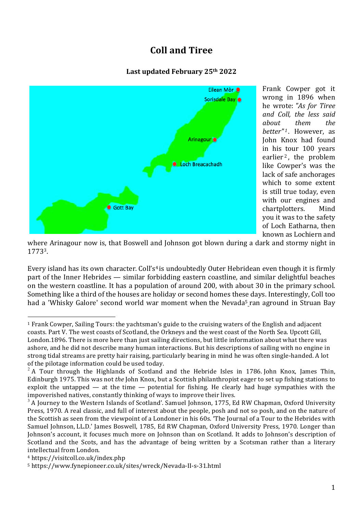# **Coll and Tiree**

#### **Last updated February 25th 2022**



Frank Cowper got it wrong in 1896 when he wrote: *"As for Tiree and Coll, the less said about them the better*"<sup>1</sup>. However, as John Knox had found in his tour 100 years earlier<sup>2</sup>, the problem like Cowper's was the lack of safe anchorages which to some extent is still true today, even with our engines and chartplotters. Mind you it was to the safety of Loch Eatharna, then known as Lochiern and

where Arinagour now is, that Boswell and Johnson got blown during a dark and stormy night in 17733.

Every island has its own character. Coll's<sup>4</sup> is undoubtedly Outer Hebridean even though it is firmly part of the Inner Hebrides — similar forbidding eastern coastline, and similar delightful beaches on the western coastline. It has a population of around 200, with about 30 in the primary school. Something like a third of the houses are holiday or second homes these days. Interestingly, Coll too had a 'Whisky Galore' second world war moment when the Nevada<sup>5</sup> ran aground in Struan Bay

<sup>&</sup>lt;sup>1</sup> Frank Cowper, Sailing Tours: the yachtsman's guide to the cruising waters of the English and adjacent coasts. Part V. The west coasts of Scotland, the Orkneys and the west coast of the North Sea. Upcott Gill, London.1896. There is more here than just sailing directions, but little information about what there was ashore, and he did not describe many human interactions. But his descriptions of sailing with no engine in strong tidal streams are pretty hair raising, particularly bearing in mind he was often single-handed. A lot of the pilotage information could be used today.

 $2^2$  A Tour through the Highlands of Scotland and the Hebride Isles in 1786. John Knox, James Thin, Edinburgh 1975. This was not *the* John Knox, but a Scottish philanthropist eager to set up fishing stations to exploit the untapped — at the time — potential for fishing. He clearly had huge sympathies with the impoverished natives, constantly thinking of ways to improve their lives.

 $3$  A Journey to the Western Islands of Scotland'. Samuel Johnson, 1775, Ed RW Chapman, Oxford University Press, 1970. A real classic, and full of interest about the people, posh and not so posh, and on the nature of the Scottish as seen from the viewpoint of a Londoner in his 60s. 'The Journal of a Tour to the Hebrides with Samuel Johnson, LL.D.' James Boswell, 1785, Ed RW Chapman, Oxford University Press, 1970. Longer than Johnson's account, it focuses much more on Johnson than on Scotland. It adds to Johnson's description of Scotland and the Scots, and has the advantage of being written by a Scotsman rather than a literary intellectual from London.

<sup>4</sup> https://visitcoll.co.uk/index.php

<sup>5</sup> https://www.fynepioneer.co.uk/sites/wreck/Nevada-II-s-31.html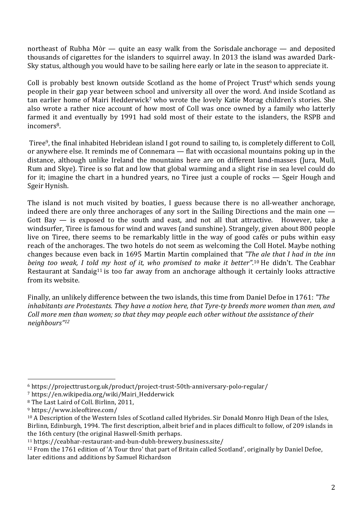northeast of Rubha Mòr — quite an easy walk from the Sorisdale anchorage — and deposited thousands of cigarettes for the islanders to squirrel away. In 2013 the island was awarded Dark-Sky status, although you would have to be sailing here early or late in the season to appreciate it.

Coll is probably best known outside Scotland as the home of Project Trust<sup>6</sup> which sends young people in their gap year between school and university all over the word. And inside Scotland as tan earlier home of Mairi Hedderwick<sup>7</sup> who wrote the lovely Katie Morag children's stories. She also wrote a rather nice account of how most of Coll was once owned by a family who latterly farmed it and eventually by 1991 had sold most of their estate to the islanders, the RSPB and incomers<sup>8</sup>.

Tiree9, the final inhabited Hebridean island I got round to sailing to, is completely different to Coll, or anywhere else. It reminds me of Connemara — flat with occasional mountains poking up in the distance, although unlike Ireland the mountains here are on different land-masses (Jura, Mull, Rum and Skye). Tiree is so flat and low that global warming and a slight rise in sea level could do for it; imagine the chart in a hundred years, no Tiree just a couple of rocks — Sgeir Hough and Sgeir Hynish.

The island is not much visited by boaties, I guess because there is no all-weather anchorage, indeed there are only three anchorages of any sort in the Sailing Directions and the main one — Gott Bay  $-$  is exposed to the south and east, and not all that attractive. However, take a windsurfer, Tiree is famous for wind and waves (and sunshine). Strangely, given about 800 people live on Tiree, there seems to be remarkably little in the way of good cafés or pubs within easy reach of the anchorages. The two hotels do not seem as welcoming the Coll Hotel. Maybe nothing changes because even back in 1695 Martin Martin complained that *"The ale that I had in the inn being too weak, I told my host of it, who promised to make it better"*. <sup>10</sup> He didn't. The Ceabhar Restaurant at Sandaig<sup>11</sup> is too far away from an anchorage although it certainly looks attractive from its website.

Finally, an unlikely difference between the two islands, this time from Daniel Defoe in 1761: *"The inhabitants are Protestants. They have a notion here, that Tyre-ty breeds more women than men, and Coll more men than women; so that they may people each other without the assistance of their neighbours"12*

<sup>6</sup> https://projecttrust.org.uk/product/project-trust-50th-anniversary-polo-regular/

<sup>7</sup> https://en.wikipedia.org/wiki/Mairi\_Hedderwick

<sup>8</sup> The Last Laird of Coll. Birlinn, 2011,

<sup>9</sup> https://www.isleoftiree.com/

<sup>10</sup> A Description of the Western Isles of Scotland called Hybrides. Sir Donald Monro High Dean of the Isles, Birlinn, Edinburgh, 1994. The first description, albeit brief and in places difficult to follow, of 209 islands in the 16th century (the original Haswell-Smith perhaps.

<sup>11</sup> https://ceabhar-restaurant-and-bun-dubh-brewery.business.site/

<sup>12</sup> From the 1761 edition of 'A Tour thro' that part of Britain called Scotland', originally by Daniel Defoe, later editions and additions by Samuel Richardson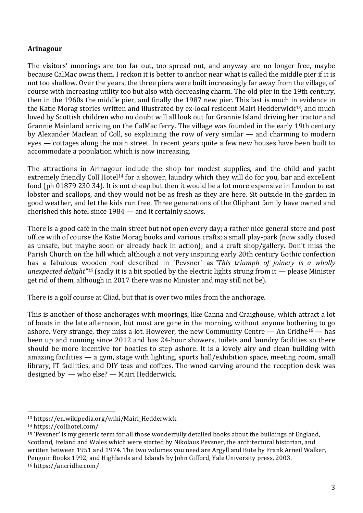# **Arinagour**

The visitors' moorings are too far out, too spread out, and anyway are no longer free, maybe because CalMac owns them. I reckon it is better to anchor near what is called the middle pier if it is not too shallow. Over the years, the three piers were built increasingly far away from the village, of course with increasing utility too but also with decreasing charm. The old pier in the 19th century, then in the 1960s the middle pier, and finally the 1987 new pier. This last is much in evidence in the Katie Morag stories written and illustrated by ex-local resident Mairi Hedderwick<sup>13</sup>, and much loved by Scottish children who no doubt will all look out for Grannie Island driving her tractor and Grannie Mainland arriving on the CalMac ferry. The village was founded in the early 19th century by Alexander Maclean of Coll, so explaining the row of very similar — and charming to modern eyes — cottages along the main street. In recent years quite a few new houses have been built to accommodate a population which is now increasing.

The attractions in Arinagour include the shop for modest supplies, and the child and yacht extremely friendly Coll Hotel<sup>14</sup> for a shower, laundry which they will do for you, bar and excellent food (ph 01879 230 34). It is not cheap but then it would be a lot more expensive in London to eat lobster and scallops, and they would not be as fresh as they are here. Sit outside in the garden in good weather, and let the kids run free. Three generations of the Oliphant family have owned and cherished this hotel since 1984 — and it certainly shows.

There is a good café in the main street but not open every day; a rather nice general store and post office with of course the Katie Morag books and various crafts; a small play-park (now sadly closed as unsafe, but maybe soon or already back in action); and a craft shop/gallery. Don't miss the Parish Church on the hill which although a not very inspiring early 20th century Gothic confection has a fabulous wooden roof described in 'Pevsner' as *"This triumph of joinery is a wholly unexpected delight"15* (sadly it is a bit spoiled by the electric lights strung from it — please Minister get rid of them, although in 2017 there was no Minister and may still not be).

There is a golf course at Cliad, but that is over two miles from the anchorage.

This is another of those anchorages with moorings, like Canna and Craighouse, which attract a lot of boats in the late afternoon, but most are gone in the morning, without anyone bothering to go ashore. Very strange, they miss a lot. However, the new Community Centre  $-$  An Cridhe<sup>16</sup>  $-$  has been up and running since 2012 and has 24-hour showers, toilets and laundry facilities so there should be more incentive for boaties to step ashore. It is a lovely airy and clean building with amazing facilities — a gym, stage with lighting, sports hall/exhibition space, meeting room, small library, IT facilities, and DIY teas and coffees. The wood carving around the reception desk was designed by — who else? — Mairi Hedderwick.

<sup>13</sup> https://en.wikipedia.org/wiki/Mairi\_Hedderwick

<sup>14</sup> https://collhotel.com/

<sup>15</sup> 'Pevsner' is my generic term for all those wonderfully detailed books about the buildings of England, Scotland, Ireland and Wales which were started by Nikolaus Pevsner, the architectural historian, and written between 1951 and 1974. The two volumes you need are Argyll and Bute by Frank Arneil Walker, Penguin Books 1992, and Highlands and Islands by John Gifford, Yale University press, 2003. <sup>16</sup> https://ancridhe.com/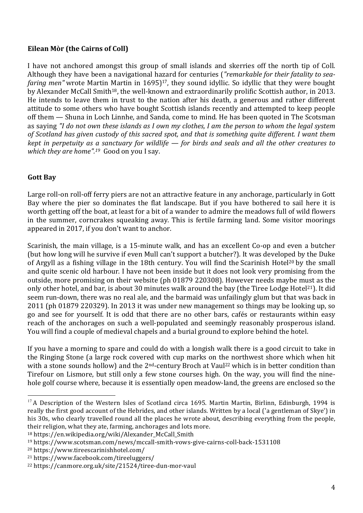## **Eilean Mòr (the Cairns of Coll)**

I have not anchored amongst this group of small islands and skerries off the north tip of Coll. Although they have been a navigational hazard for centuries (*"remarkable for their fatality to seafaring men*" wrote Martin Martin in 1695)<sup>17</sup>, they sound idyllic. So idyllic that they were bought by Alexander McCall Smith18, the well-known and extraordinarily prolific Scottish author, in 2013. He intends to leave them in trust to the nation after his death, a generous and rather different attitude to some others who have bought Scottish islands recently and attempted to keep people off them — Shuna in Loch Linnhe, and Sanda, come to mind. He has been quoted in The Scotsman as saying "I do not own these islands as I own my clothes, I am the person to whom the legal system of Scotland has given custody of this sacred spot, and that is something quite different. I want them kept in perpetuity as a sanctuary for wildlife — for birds and seals and all the other creatures to *which they are home".19* Good on you I say.

# **Gott Bay**

Large roll-on roll-off ferry piers are not an attractive feature in any anchorage, particularly in Gott Bay where the pier so dominates the flat landscape. But if you have bothered to sail here it is worth getting off the boat, at least for a bit of a wander to admire the meadows full of wild flowers in the summer, corncrakes squeaking away. This is fertile farming land. Some visitor moorings appeared in 2017, if you don't want to anchor.

Scarinish, the main village, is a 15-minute walk, and has an excellent Co-op and even a butcher (but how long will he survive if even Mull can't support a butcher?). It was developed by the Duke of Argyll as a fishing village in the 18th century. You will find the Scarinish Hotel<sup>20</sup> by the small and quite scenic old harbour. I have not been inside but it does not look very promising from the outside, more promising on their website (ph 01879 220308). However needs maybe must as the only other hotel, and bar, is about 30 minutes walk around the bay (the Tiree Lodge Hotel<sup>21</sup>). It did seem run-down, there was no real ale, and the barmaid was unfailingly glum but that was back in 2011 (ph 01879 220329). In 2013 it was under new management so things may be looking up, so go and see for yourself. It is odd that there are no other bars, cafés or restaurants within easy reach of the anchorages on such a well-populated and seemingly reasonably prosperous island. You will find a couple of medieval chapels and a burial ground to explore behind the hotel.

If you have a morning to spare and could do with a longish walk there is a good circuit to take in the Ringing Stone (a large rock covered with cup marks on the northwest shore which when hit with a stone sounds hollow) and the  $2^{nd}$ -century Broch at Vaul<sup>22</sup> which is in better condition than Tirefour on Lismore, but still only a few stone courses high. On the way, you will find the ninehole golf course where, because it is essentially open meadow-land, the greens are enclosed so the

<sup>20</sup> https://www.tireescarinishhotel.com/

 $17$  A Description of the Western Isles of Scotland circa 1695. Martin Martin, Birlinn, Edinburgh, 1994 is really the first good account of the Hebrides, and other islands. Written by a local ('a gentleman of Skye') in his 30s, who clearly travelled round all the places he wrote about, describing everything from the people, their religion, what they ate, farming, anchorages and lots more.

<sup>18</sup> https://en.wikipedia.org/wiki/Alexander\_McCall\_Smith

<sup>19</sup> https://www.scotsman.com/news/mccall-smith-vows-give-cairns-coll-back-1531108

<sup>21</sup> https://www.facebook.com/tireeluggers/

<sup>22</sup> https://canmore.org.uk/site/21524/tiree-dun-mor-vaul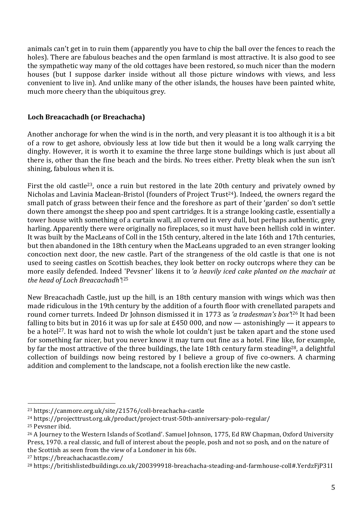animals can't get in to ruin them (apparently you have to chip the ball over the fences to reach the holes). There are fabulous beaches and the open farmland is most attractive. It is also good to see the sympathetic way many of the old cottages have been restored, so much nicer than the modern houses (but I suppose darker inside without all those picture windows with views, and less convenient to live in). And unlike many of the other islands, the houses have been painted white, much more cheery than the ubiquitous grey.

## **Loch Breacachadh (or Breachacha)**

Another anchorage for when the wind is in the north, and very pleasant it is too although it is a bit of a row to get ashore, obviously less at low tide but then it would be a long walk carrying the dinghy. However, it is worth it to examine the three large stone buildings which is just about all there is, other than the fine beach and the birds. No trees either. Pretty bleak when the sun isn't shining, fabulous when it is.

First the old castle<sup>23</sup>, once a ruin but restored in the late 20th century and privately owned by Nicholas and Lavinia Maclean-Bristol (founders of Project Trust<sup>24</sup>). Indeed, the owners regard the small patch of grass between their fence and the foreshore as part of their 'garden' so don't settle down there amongst the sheep poo and spent cartridges. It is a strange looking castle, essentially a tower house with something of a curtain wall, all covered in very dull, but perhaps authentic, grey harling. Apparently there were originally no fireplaces, so it must have been hellish cold in winter. It was built by the MacLeans of Coll in the 15th century, altered in the late 16th and 17th centuries, but then abandoned in the 18th century when the MacLeans upgraded to an even stranger looking concoction next door, the new castle. Part of the strangeness of the old castle is that one is not used to seeing castles on Scottish beaches, they look better on rocky outcrops where they can be more easily defended. Indeed 'Pevsner' likens it to *'a heavily iced cake planted on the machair at the head of Loch Breacachadh'*!25

New Breacachadh Castle, just up the hill, is an 18th century mansion with wings which was then made ridiculous in the 19th century by the addition of a fourth floor with crenellated parapets and round corner turrets. Indeed Dr Johnson dismissed it in 1773 as *'a tradesman's box'*!26 It had been falling to bits but in 2016 it was up for sale at  $E$ 450 000, and now — astonishingly — it appears to be a hotel<sup>27</sup>. It was hard not to wish the whole lot couldn't just be taken apart and the stone used for something far nicer, but you never know it may turn out fine as a hotel. Fine like, for example, by far the most attractive of the three buildings, the late 18th century farm steading<sup>28</sup>, a delightful collection of buildings now being restored by I believe a group of five co-owners. A charming addition and complement to the landscape, not a foolish erection like the new castle.

<sup>23</sup> https://canmore.org.uk/site/21576/coll-breachacha-castle

<sup>24</sup> https://projecttrust.org.uk/product/project-trust-50th-anniversary-polo-regular/

<sup>25</sup> Peysner ibid.

<sup>26</sup> A Journey to the Western Islands of Scotland'. Samuel Johnson, 1775, Ed RW Chapman, Oxford University Press, 1970. a real classic, and full of interest about the people, posh and not so posh, and on the nature of the Scottish as seen from the view of a Londoner in his 60s.

<sup>27</sup> https://breachachacastle.com/

<sup>28</sup> https://britishlistedbuildings.co.uk/200399918-breachacha-steading-and-farmhouse-coll#.YerdzFjP31I